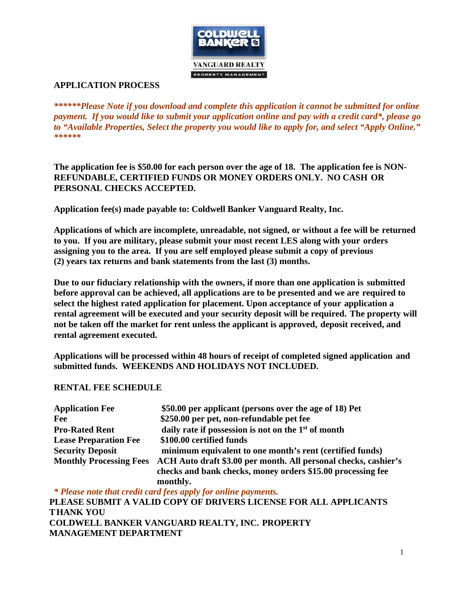

# **APPLICATION PROCESS**

*\*\*\*\*\*\*Please Note if you download and complete this application it cannot be submitted for online payment. If you would like to submit your application online and pay with a credit card\*, please go to "Available Properties, Select the property you would like to apply for, and select "Apply Online." \*\*\*\*\*\**

**The application fee is \$50.00 for each person over the age of 18. The application fee is NON-REFUNDABLE, CERTIFIED FUNDS OR MONEY ORDERS ONLY. NO CASH OR PERSONAL CHECKS ACCEPTED.**

**Application fee(s) made payable to: Coldwell Banker Vanguard Realty, Inc.**

**Applications of which are incomplete, unreadable, not signed, or without a fee will be returned to you. If you are military, please submit your most recent LES along with your orders assigning you to the area. If you are self employed please submit a copy of previous (2) years tax returns and bank statements from the last (3) months.**

**Due to our fiduciary relationship with the owners, if more than one application is submitted before approval can be achieved, all applications are to be presented and we are required to select the highest rated application for placement. Upon acceptance of your application a rental agreement will be executed and your security deposit will be required. The property will not be taken off the market for rent unless the applicant is approved, deposit received, and rental agreement executed.**

**Applications will be processed within 48 hours of receipt of completed signed application and submitted funds. WEEKENDS AND HOLIDAYS NOT INCLUDED.**

# **RENTAL FEE SCHEDULE**

| <b>Application Fee</b>         | \$50.00 per applicant (persons over the age of 18) Pet           |
|--------------------------------|------------------------------------------------------------------|
| Fee                            | \$250.00 per pet, non-refundable pet fee                         |
| <b>Pro-Rated Rent</b>          | daily rate if possession is not on the $1st$ of month            |
| <b>Lease Preparation Fee</b>   | \$100.00 certified funds                                         |
| <b>Security Deposit</b>        | minimum equivalent to one month's rent (certified funds)         |
| <b>Monthly Processing Fees</b> | ACH Auto draft \$3.00 per month. All personal checks, cashier's  |
|                                | checks and bank checks, money orders \$15.00 processing fee      |
|                                | monthly.                                                         |
|                                | * Please note that credit card fees apply for online payments.   |
|                                | PLEASE SUBMIT A VALID COPY OF DRIVERS LICENSE FOR ALL APPLICANTS |

**PLEASE SUBMIT A VALID COPY OF DRIVERS LICENSE FOR ALL APPLICANTS THANK YOU COLDWELL BANKER VANGUARD REALTY, INC. PROPERTY MANAGEMENT DEPARTMENT**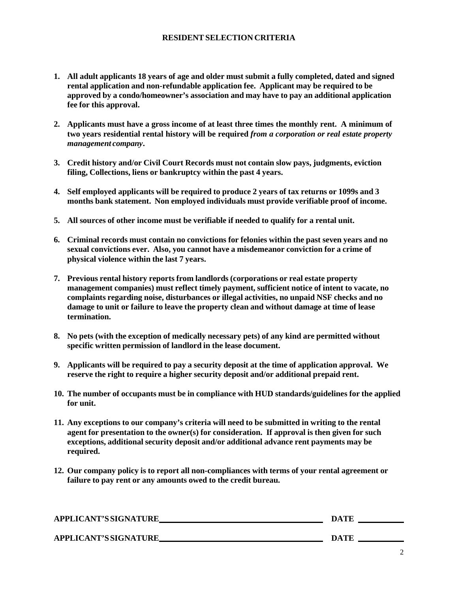#### **RESIDENTSELECTION CRITERIA**

- **1. All adult applicants 18 years of age and older must submit a fully completed, dated and signed rental application and non-refundable application fee. Applicant may be required to be approved by a condo/homeowner's association and may have to pay an additional application fee for this approval.**
- **2. Applicants must have a gross income of at least three times the monthly rent. A minimum of two years residential rental history will be required** *from a corporation or real estate property management company***.**
- **3. Credit history and/or Civil Court Records must not contain slow pays, judgments, eviction filing, Collections, liens or bankruptcy within the past 4 years.**
- **4. Self employed applicants will be required to produce 2 years of tax returns or 1099s and 3 months bank statement. Non employed individuals must provide verifiable proof of income.**
- **5. All sources of other income must be verifiable if needed to qualify for a rental unit.**
- **6. Criminal records must contain no convictions for felonies within the past seven years and no sexual convictions ever. Also, you cannot have a misdemeanor conviction for a crime of physical violence within the last 7 years.**
- **7. Previous rental history reports from landlords (corporations or real estate property management companies) must reflect timely payment, sufficient notice of intent to vacate, no complaints regarding noise, disturbances or illegal activities, no unpaid NSF checks and no damage to unit or failure to leave the property clean and without damage at time of lease termination.**
- **8. No pets (with the exception of medically necessary pets) of any kind are permitted without specific written permission of landlord in the lease document.**
- **9. Applicants will be required to pay a security deposit at the time of application approval. We reserve the right to require a higher security deposit and/or additional prepaid rent.**
- **10. The number of occupants must be in compliance with HUD standards/guidelines for the applied for unit.**
- **11. Any exceptions to our company's criteria will need to be submitted in writing to the rental agent for presentation to the owner(s) for consideration. If approval is then given for such exceptions, additional security deposit and/or additional advance rent payments may be required.**
- **12. Our company policy is to report all non-compliances with terms of your rental agreement or failure to pay rent or any amounts owed to the credit bureau.**

| APPLICANT'S SIGNATURE | <b>DATE</b> |
|-----------------------|-------------|
| APPLICANT'S SIGNATURE | <b>DATE</b> |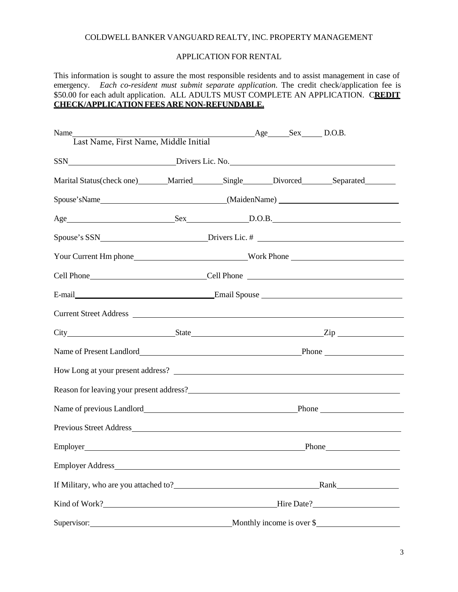### COLDWELL BANKER VANGUARD REALTY, INC. PROPERTY MANAGEMENT

#### APPLICATION FOR RENTAL

This information is sought to assure the most responsible residents and to assist management in case of emergency. *Each co-resident must submit separate application*. The credit check/application fee is \$50.00 for each adult application. ALL ADULTS MUST COMPLETE AN APPLICATION. C**REDIT CHECK/APPLICATION FEES ARE NON-REFUNDABLE.**

| Name<br>Last Name, First Name, Middle Initial                                     |  | $\text{Age}$ Sex D.O.B. |                           |  |
|-----------------------------------------------------------------------------------|--|-------------------------|---------------------------|--|
|                                                                                   |  |                         |                           |  |
|                                                                                   |  |                         |                           |  |
| Marital Status(check one) Married Single Divorced Separated                       |  |                         |                           |  |
|                                                                                   |  |                         |                           |  |
|                                                                                   |  |                         |                           |  |
|                                                                                   |  |                         |                           |  |
|                                                                                   |  |                         |                           |  |
|                                                                                   |  |                         |                           |  |
| E-mail E-mail Spouse                                                              |  |                         |                           |  |
| Current Street Address                                                            |  |                         |                           |  |
|                                                                                   |  |                         |                           |  |
|                                                                                   |  |                         |                           |  |
|                                                                                   |  |                         |                           |  |
|                                                                                   |  |                         |                           |  |
|                                                                                   |  |                         |                           |  |
|                                                                                   |  |                         |                           |  |
|                                                                                   |  |                         | Phone Phone               |  |
| <b>Employer Address</b>                                                           |  |                         |                           |  |
|                                                                                   |  |                         |                           |  |
|                                                                                   |  |                         | Hire Date?                |  |
| Supervisor:<br><u> 1980 - Johann Barbara, martxa amerikan personal (h. 1980).</u> |  |                         | Monthly income is over \$ |  |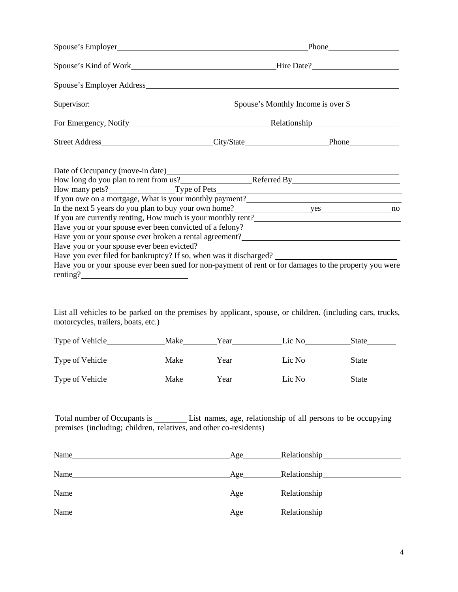|                                                                                                                             | Supervisor: Supervisor: Spouse's Monthly Income is over \$ |  |  |  |
|-----------------------------------------------------------------------------------------------------------------------------|------------------------------------------------------------|--|--|--|
|                                                                                                                             |                                                            |  |  |  |
|                                                                                                                             |                                                            |  |  |  |
| Date of Occupancy (move-in date)                                                                                            |                                                            |  |  |  |
| How long do you plan to rent from us?<br>Referred By<br>Referred By                                                         |                                                            |  |  |  |
|                                                                                                                             |                                                            |  |  |  |
|                                                                                                                             |                                                            |  |  |  |
| In the next 5 years do you plan to buy your own home?<br>10                                                                 |                                                            |  |  |  |
|                                                                                                                             |                                                            |  |  |  |
| Have you or your spouse ever been convicted of a felony?<br><u>Lave you or your spouse ever been convicted of a felony?</u> |                                                            |  |  |  |
|                                                                                                                             |                                                            |  |  |  |
| Have you or your spouse ever been evicted?                                                                                  |                                                            |  |  |  |
| Have you ever filed for bankruptcy? If so, when was it discharged? _________________________________                        |                                                            |  |  |  |
| Have you or your spouse ever been sued for non-payment of rent or for damages to the property you were<br>renting?          |                                                            |  |  |  |

List all vehicles to be parked on the premises by applicant, spouse, or children. (including cars, trucks, motorcycles, trailers, boats, etc.)

| Type of Vehicle | Make | Year | Lic No | State |
|-----------------|------|------|--------|-------|
|                 |      |      |        |       |
| Type of Vehicle | Make | Year | Lic No | State |
| Type of Vehicle | Make | Year | Lic No | State |

Total number of Occupants is \_\_\_\_\_\_\_\_\_\_ List names, age, relationship of all persons to be occupying premises (including; children, relatives, and other co-residents)

| Name | Age_ | Relationship Relationship |
|------|------|---------------------------|
| Name | Age  | <b>Relationship</b>       |
| Name | Age  | Relationship              |
| Name | Age  | <b>Relationship</b>       |